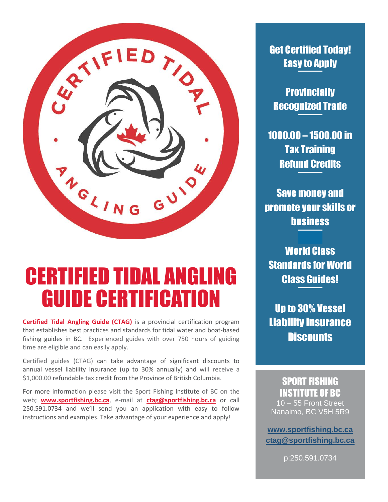

# CERTIFIED TIDAL ANGLING **GUIDE CERTIFICATI**

**Certified Tidal Angling Guide (CTAG)** is a provincial certification program that establishes best practices and standards for tidal water and boat-based fishing guides in BC. Experienced guides with over 750 hours of guiding time are eligible and can easily apply.

Certified guides (CTAG) can take advantage of significant discounts to annual vessel liability insurance (up to 30% annually) and will receive a \$1,000.00 refundable tax credit from the Province of British Columbia.

For more information please visit the Sport Fishing Institute of BC on the web; **[www.sportfishing.bc.ca](http://www.sportfishing.bc.ca/)**, e-mail at **[ctag@sportfishing.bc.ca](mailto:ctag@sportfishing.bc.ca)** or call 250.591.0734 and we'll send you an application with easy to follow instructions and examples. Take advantage of your experience and apply!

## Get Certified Today! Easy to Apply

**Provincially** Recognized Trade

1000.00 – 1500.00 in Tax Training Refund Credits

Save money and promote your skills or business

World Class Standards for World Class Guides!

Up to 30% Vessel Liability Insurance **Discounts** 

# SPORT FISHING INSTITUTE OF BC

10 – 55 Front Street Nanaimo, BC V5H 5R9

**[www.sportfishing.bc.ca](http://www.sportfishing.bc.ca/) [ctag@sportfishing.bc.ca](mailto:ctag@sportfishing.bc.ca)**

p:250.591.0734